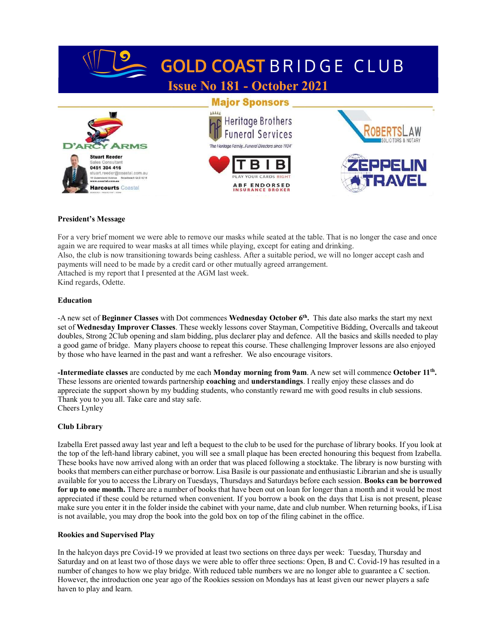

# President's Message

For a very brief moment we were able to remove our masks while seated at the table. That is no longer the case and once again we are required to wear masks at all times while playing, except for eating and drinking. Also, the club is now transitioning towards being cashless. After a suitable period, we will no longer accept cash and payments will need to be made by a credit card or other mutually agreed arrangement. Attached is my report that I presented at the AGM last week. Kind regards, Odette.

# Education

-A new set of Beginner Classes with Dot commences Wednesday October 6<sup>th</sup>. This date also marks the start my next set of Wednesday Improver Classes. These weekly lessons cover Stayman, Competitive Bidding, Overcalls and takeout doubles, Strong 2Club opening and slam bidding, plus declarer play and defence. All the basics and skills needed to play a good game of bridge. Many players choose to repeat this course. These challenging Improver lessons are also enjoyed by those who have learned in the past and want a refresher. We also encourage visitors.

Intermediate classes are conducted by me each Monday morning from 9am. A new set will commence October 11<sup>th</sup>. These lessons are oriented towards partnership coaching and understandings. I really enjoy these classes and do appreciate the support shown by my budding students, who constantly reward me with good results in club sessions. Thank you to you all. Take care and stay safe. Cheers Lynley

# Club Library

Izabella Eret passed away last year and left a bequest to the club to be used for the purchase of library books. If you look at the top of the left-hand library cabinet, you will see a small plaque has been erected honouring this bequest from Izabella. These books have now arrived along with an order that was placed following a stocktake. The library is now bursting with books that members can either purchase or borrow. Lisa Basile is our passionate and enthusiastic Librarian and she is usually available for you to access the Library on Tuesdays, Thursdays and Saturdays before each session. Books can be borrowed for up to one month. There are a number of books that have been out on loan for longer than a month and it would be most appreciated if these could be returned when convenient. If you borrow a book on the days that Lisa is not present, please make sure you enter it in the folder inside the cabinet with your name, date and club number. When returning books, if Lisa is not available, you may drop the book into the gold box on top of the filing cabinet in the office.

#### Rookies and Supervised Play

In the halcyon days pre Covid-19 we provided at least two sections on three days per week: Tuesday, Thursday and Saturday and on at least two of those days we were able to offer three sections: Open, B and C. Covid-19 has resulted in a number of changes to how we play bridge. With reduced table numbers we are no longer able to guarantee a C section. However, the introduction one year ago of the Rookies session on Mondays has at least given our newer players a safe haven to play and learn.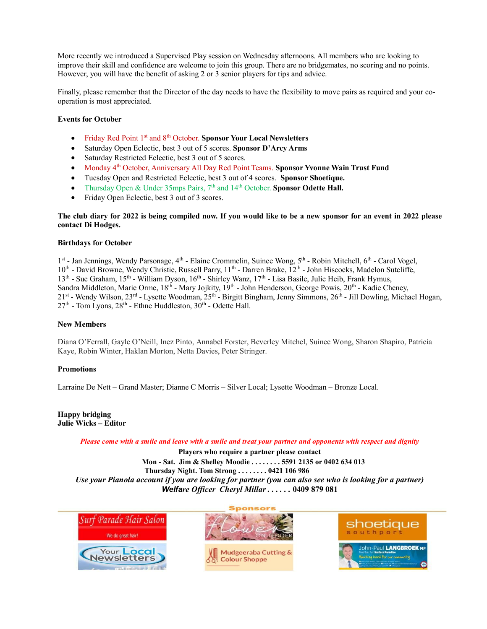More recently we introduced a Supervised Play session on Wednesday afternoons. All members who are looking to improve their skill and confidence are welcome to join this group. There are no bridgemates, no scoring and no points. However, you will have the benefit of asking 2 or 3 senior players for tips and advice.

Finally, please remember that the Director of the day needs to have the flexibility to move pairs as required and your cooperation is most appreciated.

## Events for October

- Friday Red Point 1<sup>st</sup> and 8<sup>th</sup> October. Sponsor Your Local Newsletters
- Saturday Open Eclectic, best 3 out of 5 scores. Sponsor D'Arcy Arms
- Saturday Restricted Eclectic, best 3 out of 5 scores.
- Monday 4<sup>th</sup> October, Anniversary All Day Red Point Teams. Sponsor Yvonne Wain Trust Fund
- Tuesday Open and Restricted Eclectic, best 3 out of 4 scores. Sponsor Shoetique.
- Thursday Open & Under 35mps Pairs, 7<sup>th</sup> and 14<sup>th</sup> October. Sponsor Odette Hall.
- Friday Open Eclectic, best 3 out of 3 scores.

## The club diary for 2022 is being compiled now. If you would like to be a new sponsor for an event in 2022 please contact Di Hodges.

#### Birthdays for October

1<sup>st</sup> - Jan Jennings, Wendy Parsonage, 4<sup>th</sup> - Elaine Crommelin, Suinee Wong, 5<sup>th</sup> - Robin Mitchell, 6<sup>th</sup> - Carol Vogel, 10<sup>th</sup> - David Browne, Wendy Christie, Russell Parry, 11<sup>th</sup> - Darren Brake, 12<sup>th</sup> - John Hiscocks, Madelon Sutcliffe, 13<sup>th</sup> - Sue Graham, 15<sup>th</sup> - William Dyson, 16<sup>th</sup> - Shirley Wanz, 17<sup>th</sup> - Lisa Basile, Julie Heib, Frank Hymus, Sandra Middleton, Marie Orme, 18<sup>th</sup> - Mary Jojkity, 19<sup>th</sup> - John Henderson, George Powis, 20<sup>th</sup> - Kadie Cheney, 21st - Wendy Wilson, 23rd - Lysette Woodman, 25th - Birgitt Bingham, Jenny Simmons, 26th - Jill Dowling, Michael Hogan,  $27<sup>th</sup>$  - Tom Lyons,  $28<sup>th</sup>$  - Ethne Huddleston,  $30<sup>th</sup>$  - Odette Hall.

### New Members

Diana O'Ferrall, Gayle O'Neill, Inez Pinto, Annabel Forster, Beverley Mitchel, Suinee Wong, Sharon Shapiro, Patricia Kaye, Robin Winter, Haklan Morton, Netta Davies, Peter Stringer.

#### **Promotions**

Larraine De Nett – Grand Master; Dianne C Morris – Silver Local; Lysette Woodman – Bronze Local.

Happy bridging Julie Wicks – Editor

Please come with a smile and leave with a smile and treat your partner and opponents with respect and dignity

Players who require a partner please contact Mon - Sat. Jim & Shelley Moodie . . . . . . . . 5591 2135 or 0402 634 013 Thursday Night. Tom Strong . . . . . . . . 0421 106 986 Use your Pianola account if you are looking for partner (you can also see who is looking for a partner) Welfare Officer Cheryl Millar ...... 0409 879 081